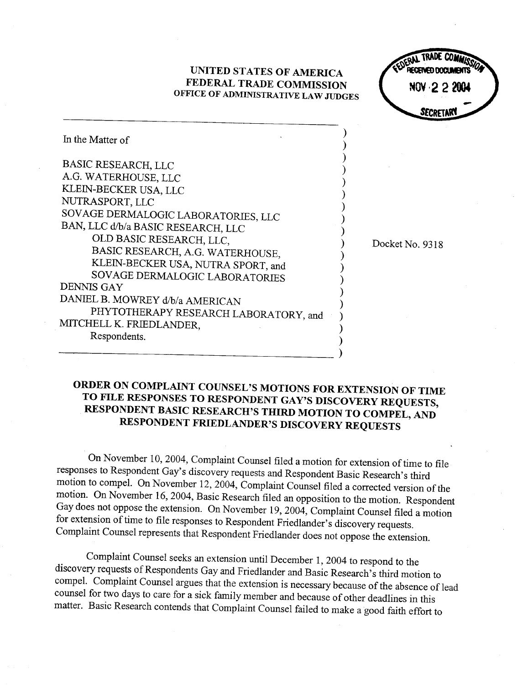## UNITED STATES OF AMERICA FEDERAL TRADE COMMISSION OFFICE OF ADMINISTRATIVE LAW JUDGES

ERAL TRADE **RECEIVED DOCH** NOA 5 5 5001 SECRETAR

Docket No. 9318

| In the Matter of                      |  |
|---------------------------------------|--|
| <b>BASIC RESEARCH, LLC</b>            |  |
| A.G. WATERHOUSE, LLC                  |  |
| KLEIN-BECKER USA, LLC                 |  |
| NUTRASPORT, LLC                       |  |
| SOVAGE DERMALOGIC LABORATORIES, LLC   |  |
| BAN, LLC d/b/a BASIC RESEARCH, LLC    |  |
| OLD BASIC RESEARCH, LLC,              |  |
| BASIC RESEARCH, A.G. WATERHOUSE,      |  |
| KLEIN-BECKER USA, NUTRA SPORT, and    |  |
| SOVAGE DERMALOGIC LABORATORIES        |  |
| <b>DENNIS GAY</b>                     |  |
| DANIEL B. MOWREY d/b/a AMERICAN       |  |
| PHYTOTHERAPY RESEARCH LABORATORY, and |  |
| MITCHELL K. FRIEDLANDER,              |  |
| Respondents.                          |  |
|                                       |  |

## ORDER ON COMPLAINT COUNSEL'S MOTIONS FOR EXTENSION OF TIME TO FILE RESPONSES TO RESPONDENT GAY'S DISCOVERY REQUESTS, RESPONDENT BASIC RESEARCH'S THIRD MOTION TO COMPEL, AND RESPONDENT FRIEDLANDER'S DISCOVERY REQUESTS

On November 10, 2004, Complaint Counsel filed a motion for extension of time to file motion to compel. On November 12, 2004, Complaint Counsel filed a corrected version of the motion. On November 16, 2004, Basic Research filed an opposition to the motion. Respondent Gay does not oppose the extension. On November 19, 2004, Complaint Counsel filed a motion for extension of time to file responses to Respondent Friedlander's discovery requests. Complaint Counsel represents that Respondent Friedlander does not oppose the extension.

Complaint Counsel seeks an extension until December 1, 2004 to respond to the discovery requests of Respondents Gay and Friedlander and Basic Research's third motion to compel. Complaint Counsel argues that the extension is necessary because of the absence of lead counsel for two days to care for a sick family member and because of other deadlines in this matter. Basic Research contends that Complaint Counsel failed to make a good faith effort to